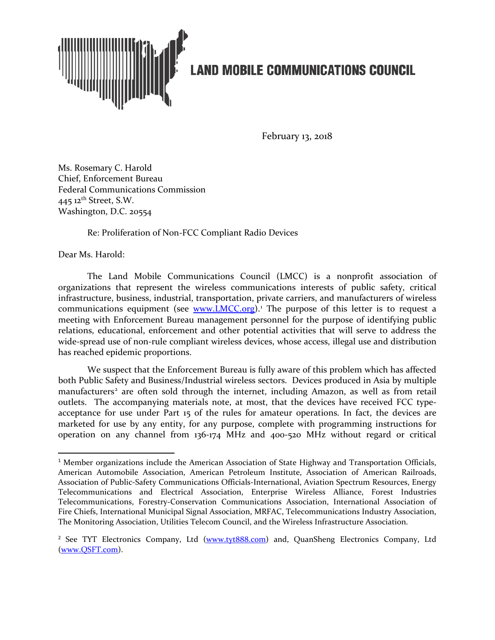

February 13, 2018

Ms. Rosemary C. Harold Chief, Enforcement Bureau Federal Communications Commission 445 12<sup>th</sup> Street, S.W. Washington, D.C. 20554

Re: Proliferation of Non-FCC Compliant Radio Devices

Dear Ms. Harold:

The Land Mobile Communications Council (LMCC) is a nonprofit association of organizations that represent the wireless communications interests of public safety, critical infrastructure, business, industrial, transportation, private carriers, and manufacturers of wireless communications equipment (see [www.LMCC.org\)](http://www.lmcc.org/).<sup>[1](#page-0-0)</sup> The purpose of this letter is to request a meeting with Enforcement Bureau management personnel for the purpose of identifying public relations, educational, enforcement and other potential activities that will serve to address the wide-spread use of non-rule compliant wireless devices, whose access, illegal use and distribution has reached epidemic proportions.

We suspect that the Enforcement Bureau is fully aware of this problem which has affected both Public Safety and Business/Industrial wireless sectors. Devices produced in Asia by multiple manufacturers<sup>[2](#page-0-1)</sup> are often sold through the internet, including Amazon, as well as from retail outlets. The accompanying materials note, at most, that the devices have received FCC typeacceptance for use under Part 15 of the rules for amateur operations. In fact, the devices are marketed for use by any entity, for any purpose, complete with programming instructions for operation on any channel from 136-174 MHz and 400-520 MHz without regard or critical

<span id="page-0-0"></span> $1$  Member organizations include the American Association of State Highway and Transportation Officials, American Automobile Association, American Petroleum Institute, Association of American Railroads, Association of Public-Safety Communications Officials-International, Aviation Spectrum Resources, Energy Telecommunications and Electrical Association, Enterprise Wireless Alliance, Forest Industries Telecommunications, Forestry-Conservation Communications Association, International Association of Fire Chiefs, International Municipal Signal Association, MRFAC, Telecommunications Industry Association, The Monitoring Association, Utilities Telecom Council, and the Wireless Infrastructure Association.

<span id="page-0-1"></span><sup>&</sup>lt;sup>2</sup> See TYT Electronics Company, Ltd [\(www.tyt888.com\)](http://www.tyt888.com/) and, QuanSheng Electronics Company, Ltd [\(www.QSFT.com\)](http://www.qsft.com/).